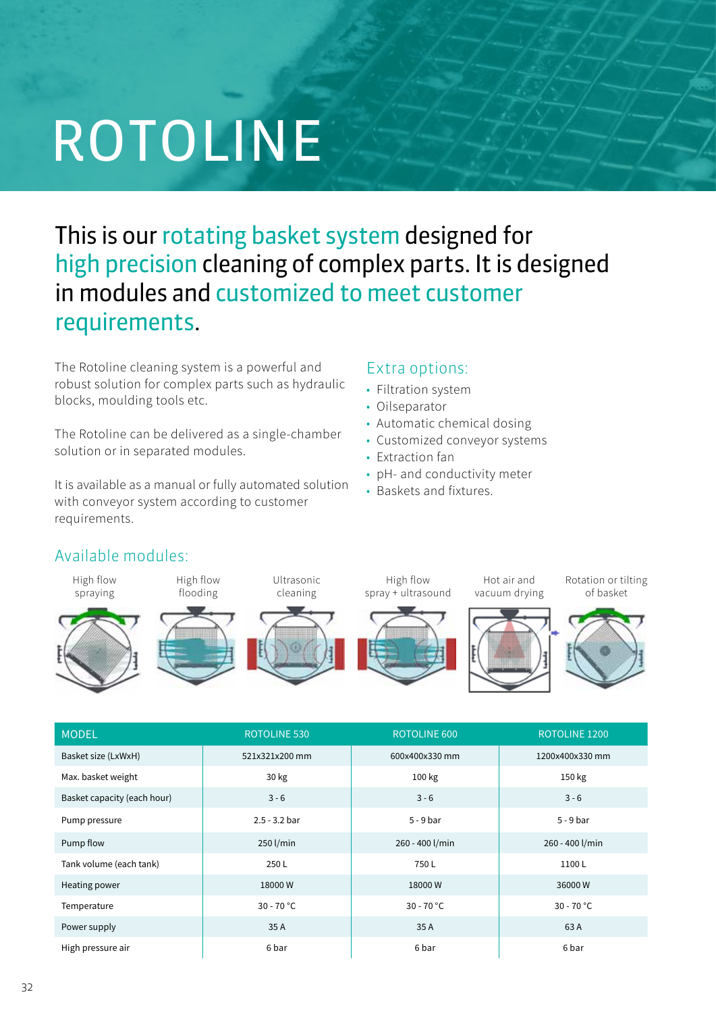# ROTOLINE

## This is our rotating basket system designed for high precision cleaning of complex parts. It is designed in modules and customized to meet customer requirements.

The Rotoline cleaning system is a powerful and robust solution for complex parts such as hydraulic blocks, moulding tools etc.

The Rotoline can be delivered as a single-chamber<br>Customized solution or in separated modules. ried as a single-challiber **contract Customized conveyor systems**<br>Indules

It is available as a manual or fully automated solution with conveyor system according to customer requirements.

#### **Extra options: INSTEADER SYSTEMS**

- **Filtration system**
- Oilseparator
- **VALUE CLEANING**<br>• Automatic chemical dosing
	-
	- Extraction fan
- pH- and conductivity meter  **HIGH FLOW SPRAYING IN AIR HIGH FLOW SPRAYING IN LIQUID HIGH FLOW SPRAYING IN AIR HIGH FLOW SPRAYING IN LIQUID** 
	- **Baskets and fixtures.** The combined  $\theta$  and  $\theta$  and  $\theta$  and  $\theta$  and  $\theta$  and  $\theta$  and  $\theta$  and  $\theta$  and  $\theta$  and  $\theta$  and  $\theta$  and  $\theta$  and  $\theta$  and  $\theta$  and  $\theta$  and  $\theta$  and  $\theta$  and  $\theta$  and  $\theta$  and  $\theta$  and  $\theta$



| <b>MODEL</b>                | <b>ROTOLINE 530</b> | <b>ROTOLINE 600</b> | ROTOLINE 1200   |
|-----------------------------|---------------------|---------------------|-----------------|
| Basket size (LxWxH)         | 521x321x200 mm      | 600x400x330 mm      | 1200x400x330 mm |
| Max. basket weight          | 30 kg               | 100 kg              | 150 kg          |
| Basket capacity (each hour) | $3 - 6$             | $3 - 6$             | $3 - 6$         |
| Pump pressure               | $2.5 - 3.2$ bar     | $5 - 9$ bar         | $5 - 9$ bar     |
| Pump flow                   | 250 l/min           | 260 - 400 l/min     | 260 - 400 l/min |
| Tank volume (each tank)     | 250L                | 750L                | 1100L           |
| Heating power               | 18000W              | 18000W              | 36000W          |
| Temperature                 | $30 - 70 °C$        | $30 - 70 °C$        | $30 - 70 °C$    |
| Power supply                | 35 A                | 35A                 | 63 A            |
| High pressure air           | 6 bar               | 6 bar               | 6 bar           |

### Available modules: